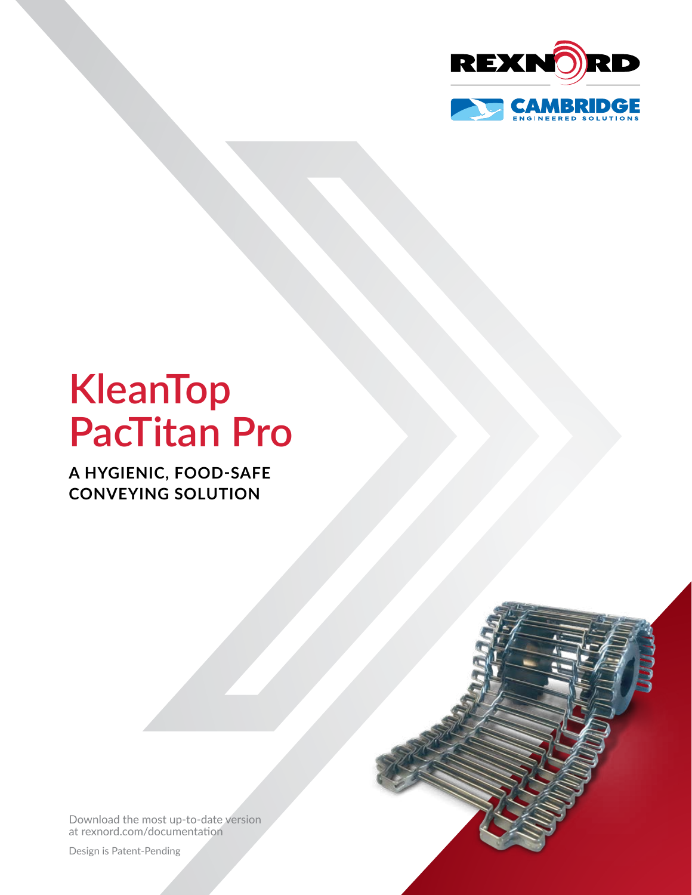

# **KleanTop PacTitan Pro**

**A HYGIENIC, FOOD-SAFE CONVEYING SOLUTION**

[Download the most up-to-date version](http://www.rexnord.com/documentation)  [at rexnord.com/documentation](http://www.rexnord.com/documentation)

Design is Patent-Pending

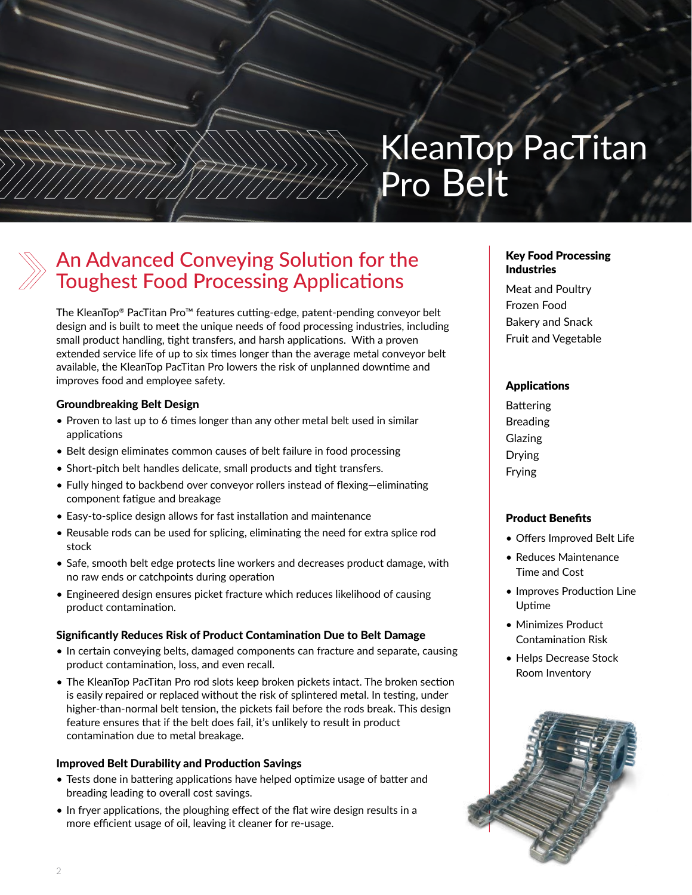# KleanTop PacTitan Pro Belt

### An Advanced Conveying Solution for the Toughest Food Processing Applications

The KleanTop® PacTitan Pro™ features cutting-edge, patent-pending conveyor belt design and is built to meet the unique needs of food processing industries, including small product handling, tight transfers, and harsh applications. With a proven extended service life of up to six times longer than the average metal conveyor belt available, the KleanTop PacTitan Pro lowers the risk of unplanned downtime and improves food and employee safety.

### Groundbreaking Belt Design

- Proven to last up to 6 times longer than any other metal belt used in similar applications
- Belt design eliminates common causes of belt failure in food processing
- Short-pitch belt handles delicate, small products and tight transfers.
- Fully hinged to backbend over conveyor rollers instead of flexing—eliminating component fatigue and breakage
- Easy-to-splice design allows for fast installation and maintenance
- Reusable rods can be used for splicing, eliminating the need for extra splice rod stock
- Safe, smooth belt edge protects line workers and decreases product damage, with no raw ends or catchpoints during operation
- Engineered design ensures picket fracture which reduces likelihood of causing product contamination.

### Significantly Reduces Risk of Product Contamination Due to Belt Damage

- In certain conveying belts, damaged components can fracture and separate, causing product contamination, loss, and even recall.
- The KleanTop PacTitan Pro rod slots keep broken pickets intact. The broken section is easily repaired or replaced without the risk of splintered metal. In testing, under higher-than-normal belt tension, the pickets fail before the rods break. This design feature ensures that if the belt does fail, it's unlikely to result in product contamination due to metal breakage.

### Improved Belt Durability and Production Savings

- Tests done in battering applications have helped optimize usage of batter and breading leading to overall cost savings.
- In fryer applications, the ploughing effect of the flat wire design results in a more efficient usage of oil, leaving it cleaner for re-usage.

### Key Food Processing Industries

Meat and Poultry Frozen Food Bakery and Snack Fruit and Vegetable

### Applications

Battering Breading Glazing Drying Frying

### Product Benefits

- Offers Improved Belt Life
- Reduces Maintenance Time and Cost
- Improves Production Line Uptime
- Minimizes Product Contamination Risk
- Helps Decrease Stock Room Inventory

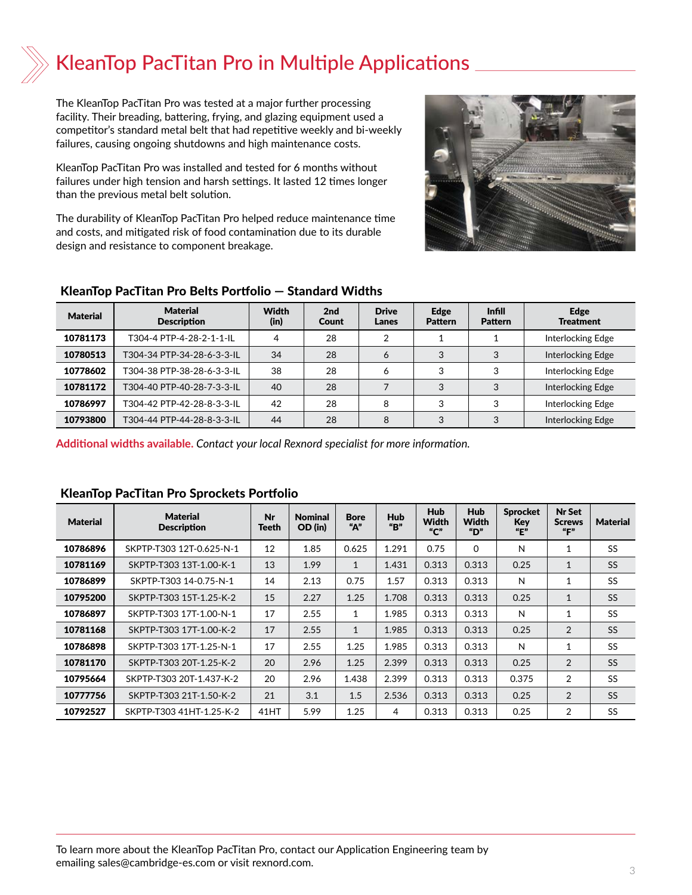### KleanTop PacTitan Pro in Multiple Applications

The KleanTop PacTitan Pro was tested at a major further processing facility. Their breading, battering, frying, and glazing equipment used a competitor's standard metal belt that had repetitive weekly and bi-weekly failures, causing ongoing shutdowns and high maintenance costs.

KleanTop PacTitan Pro was installed and tested for 6 months without failures under high tension and harsh settings. It lasted 12 times longer than the previous metal belt solution.

The durability of KleanTop PacTitan Pro helped reduce maintenance time and costs, and mitigated risk of food contamination due to its durable design and resistance to component breakage.



### KleanTop PacTitan Pro Belts Portfolio — Standard Widths

| <b>Material</b> | <b>Material</b><br><b>Description</b> | <b>Width</b><br>(in) | 2nd<br><b>Count</b> | <b>Drive</b><br>Lanes | Edge<br><b>Pattern</b> | <b>Infill</b><br><b>Pattern</b> | Edge<br><b>Treatment</b> |
|-----------------|---------------------------------------|----------------------|---------------------|-----------------------|------------------------|---------------------------------|--------------------------|
| 10781173        | T304-4 PTP-4-28-2-1-1-II              | 4                    | 28                  | 2                     |                        |                                 | Interlocking Edge        |
| 10780513        | T304-34 PTP-34-28-6-3-3-IL            | 34                   | 28                  | 6                     | 3                      | 3                               | Interlocking Edge        |
| 10778602        | T304-38 PTP-38-28-6-3-3-IL            | 38                   | 28                  | 6                     | 3                      | 3                               | Interlocking Edge        |
| 10781172        | T304-40 PTP-40-28-7-3-3-IL            | 40                   | 28                  |                       | 3                      | 3                               | Interlocking Edge        |
| 10786997        | T304-42 PTP-42-28-8-3-3-IL            | 42                   | 28                  | 8                     | 3                      | 3                               | Interlocking Edge        |
| 10793800        | T304-44 PTP-44-28-8-3-3-IL            | 44                   | 28                  | 8                     | 3                      | 3                               | Interlocking Edge        |

**Additional widths available.** *Contact your local Rexnord specialist for more information.*

| <b>Material</b> | <b>Material</b><br><b>Description</b> | Nr<br>Teeth | <b>Nominal</b><br>OD (in) | <b>Bore</b><br>"А" | <b>Hub</b><br>"B" | <b>Hub</b><br>Width<br>$^{\prime\prime}$ C" | <b>Hub</b><br>Width<br>"D" | <b>Sprocket</b><br>Key<br>$^uE^v$ | <b>Nr Set</b><br><b>Screws</b><br>"F" | <b>Material</b> |
|-----------------|---------------------------------------|-------------|---------------------------|--------------------|-------------------|---------------------------------------------|----------------------------|-----------------------------------|---------------------------------------|-----------------|
| 10786896        | SKPTP-T303 12T-0.625-N-1              | 12          | 1.85                      | 0.625              | 1.291             | 0.75                                        | $\Omega$                   | N                                 | $\mathbf{1}$                          | SS              |
| 10781169        | SKPTP-T303 13T-1.00-K-1               | 13          | 1.99                      | $\mathbf{1}$       | 1.431             | 0.313                                       | 0.313                      | 0.25                              | $\mathbf{1}$                          | <b>SS</b>       |
| 10786899        | SKPTP-T303 14-0.75-N-1                | 14          | 2.13                      | 0.75               | 1.57              | 0.313                                       | 0.313                      | N                                 | 1                                     | <b>SS</b>       |
| 10795200        | SKPTP-T303 15T-1.25-K-2               | 15          | 2.27                      | 1.25               | 1.708             | 0.313                                       | 0.313                      | 0.25                              | 1                                     | <b>SS</b>       |
| 10786897        | SKPTP-T303 17T-1.00-N-1               | 17          | 2.55                      | $\mathbf{1}$       | 1.985             | 0.313                                       | 0.313                      | N                                 | $\mathbf{1}$                          | <b>SS</b>       |
| 10781168        | SKPTP-T303 17T-1.00-K-2               | 17          | 2.55                      | $\mathbf{1}$       | 1.985             | 0.313                                       | 0.313                      | 0.25                              | 2                                     | <b>SS</b>       |
| 10786898        | SKPTP-T303 17T-1.25-N-1               | 17          | 2.55                      | 1.25               | 1.985             | 0.313                                       | 0.313                      | N                                 | $\mathbf{1}$                          | <b>SS</b>       |
| 10781170        | SKPTP-T303 20T-1.25-K-2               | 20          | 2.96                      | 1.25               | 2.399             | 0.313                                       | 0.313                      | 0.25                              | 2                                     | <b>SS</b>       |
| 10795664        | SKPTP-T303 20T-1.437-K-2              | 20          | 2.96                      | 1.438              | 2.399             | 0.313                                       | 0.313                      | 0.375                             | 2                                     | SS              |
| 10777756        | SKPTP-T303 21T-1.50-K-2               | 21          | 3.1                       | 1.5                | 2.536             | 0.313                                       | 0.313                      | 0.25                              | 2                                     | <b>SS</b>       |
| 10792527        | SKPTP-T303 41HT-1.25-K-2              | 41HT        | 5.99                      | 1.25               | 4                 | 0.313                                       | 0.313                      | 0.25                              | 2                                     | SS              |

### KleanTop PacTitan Pro Sprockets Portfolio

To learn more about the KleanTop PacTitan Pro, contact our Application Engineering team by emailing [sales@cambridge-es.com](mailto:sales%40cambridge-es.com?subject=KleanTop%20PacTitan%20Pro) or visit [rexnord.com](http://www.rexnord.com).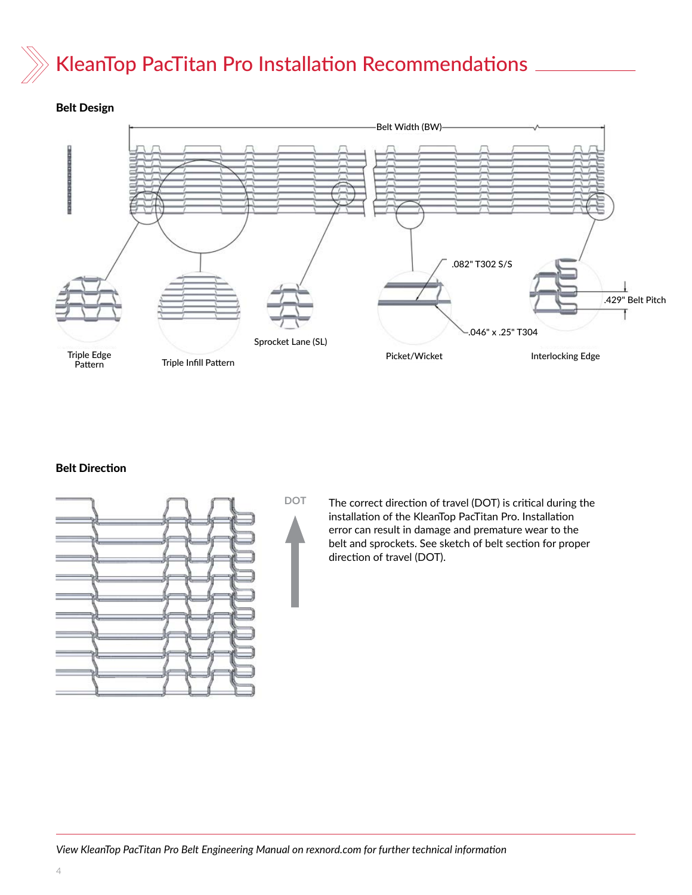# KleanTop PacTitan Pro Installation Recommendations



### Belt Direction





The correct direction of travel (DOT) is critical during the installation of the KleanTop PacTitan Pro. Installation error can result in damage and premature wear to the belt and sprockets. See sketch of belt section for proper direction of travel (DOT).

*View KleanTop PacTitan Pro Belt Engineering Manual on [rexnord.com](http://www.rexnord.com) for further technical information*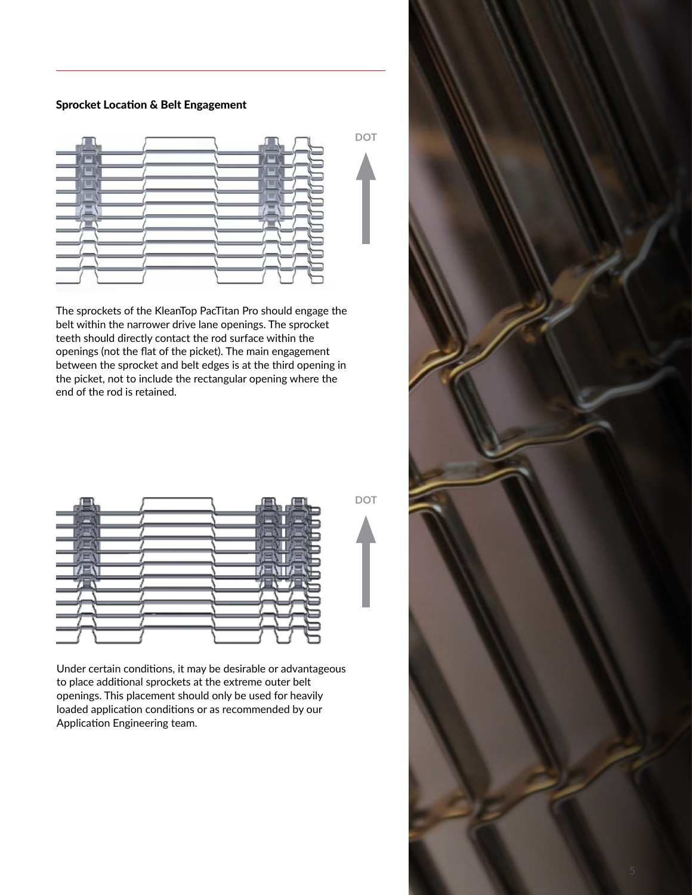### Sprocket Location & Belt Engagement



The sprockets of the KleanTop PacTitan Pro should engage the belt within the narrower drive lane openings. The sprocket teeth should directly contact the rod surface within the openings (not the flat of the picket). The main engagement between the sprocket and belt edges is at the third opening in the picket, not to include the rectangular opening where the end of the rod is retained.

|    |  |  | - |  |
|----|--|--|---|--|
|    |  |  |   |  |
|    |  |  |   |  |
|    |  |  |   |  |
| ⇁  |  |  |   |  |
|    |  |  |   |  |
|    |  |  |   |  |
| __ |  |  |   |  |
| __ |  |  |   |  |
|    |  |  |   |  |

**DOT**

Under certain conditions, it may be desirable or advantageous to place additional sprockets at the extreme outer belt openings. This placement should only be used for heavily loaded application conditions or as recommended by our Application Engineering team.

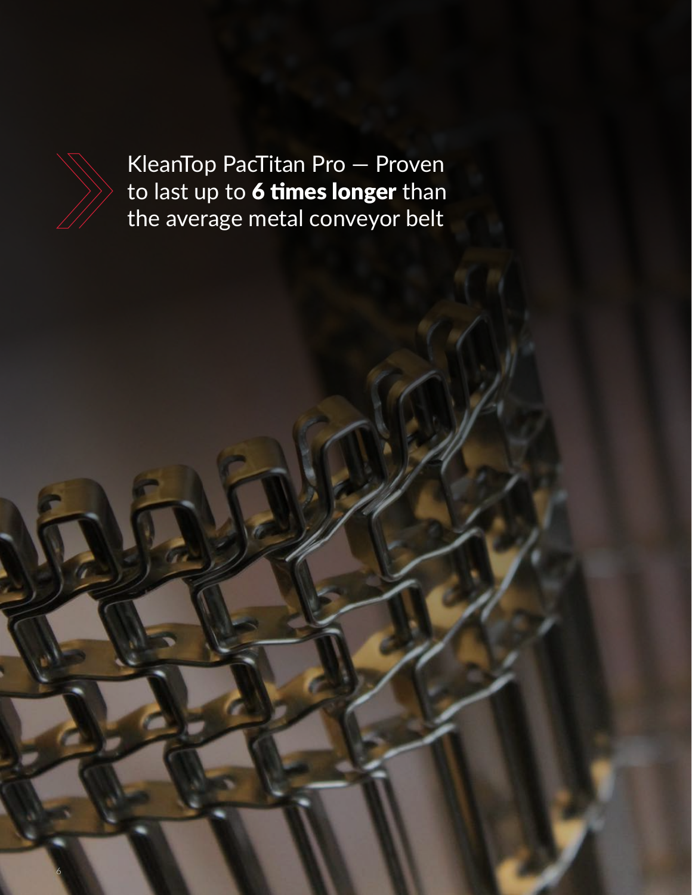

6

KleanTop PacTitan Pro — Proven to last up to 6 times longer than the average metal conveyor belt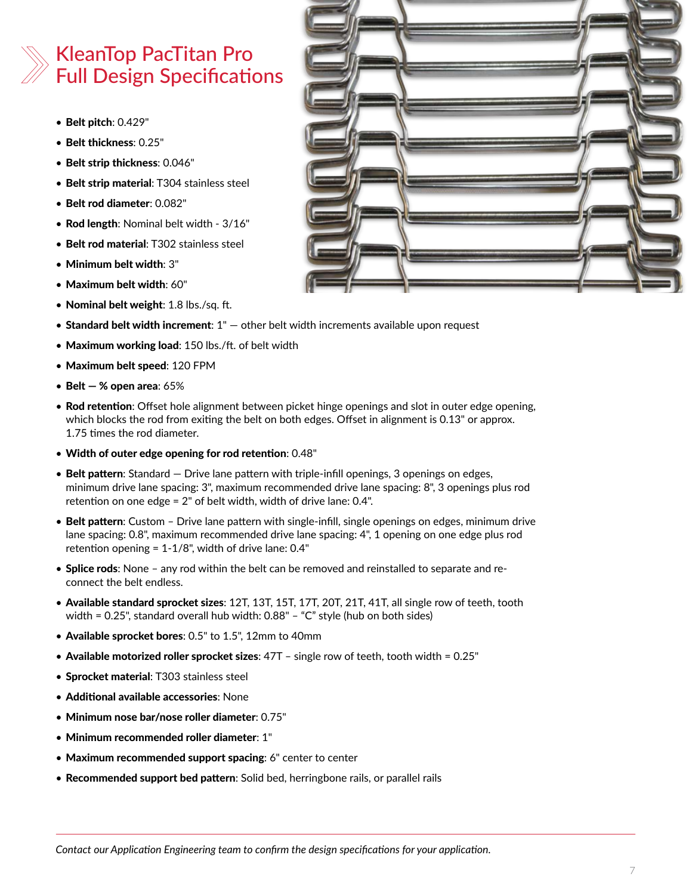### KleanTop PacTitan Pro Full Design Specifications

- Belt pitch: 0.429"
- Belt thickness: 0.25"
- Belt strip thickness: 0.046"
- Belt strip material: T304 stainless steel
- Belt rod diameter: 0.082"
- Rod length: Nominal belt width 3/16"
- Belt rod material: T302 stainless steel
- Minimum belt width: 3"
- Maximum belt width: 60"
- Nominal belt weight: 1.8 lbs./sq. ft.
- Standard belt width increment:  $1 -$  other belt width increments available upon request
- Maximum working load: 150 lbs./ft. of belt width
- Maximum belt speed: 120 FPM
- Belt  $-$  % open area:  $65%$
- Rod retention: Offset hole alignment between picket hinge openings and slot in outer edge opening, which blocks the rod from exiting the belt on both edges. Offset in alignment is 0.13" or approx. 1.75 times the rod diameter.
- Width of outer edge opening for rod retention: 0.48"
- Belt pattern: Standard  $-$  Drive lane pattern with triple-infill openings, 3 openings on edges, minimum drive lane spacing: 3", maximum recommended drive lane spacing: 8", 3 openings plus rod retention on one edge = 2" of belt width, width of drive lane: 0.4".
- Belt pattern: Custom Drive lane pattern with single-infill, single openings on edges, minimum drive lane spacing: 0.8", maximum recommended drive lane spacing: 4", 1 opening on one edge plus rod retention opening = 1-1/8", width of drive lane: 0.4"
- Splice rods: None any rod within the belt can be removed and reinstalled to separate and reconnect the belt endless.
- Available standard sprocket sizes: 12T, 13T, 15T, 17T, 20T, 21T, 41T, all single row of teeth, tooth width = 0.25", standard overall hub width: 0.88" – "C" style (hub on both sides)
- Available sprocket bores: 0.5" to 1.5", 12mm to 40mm
- Available motorized roller sprocket sizes: 47T single row of teeth, tooth width = 0.25"
- Sprocket material: T303 stainless steel
- Additional available accessories: None
- Minimum nose bar/nose roller diameter: 0.75"
- Minimum recommended roller diameter: 1"
- Maximum recommended support spacing: 6" center to center
- Recommended support bed pattern: Solid bed, herringbone rails, or parallel rails